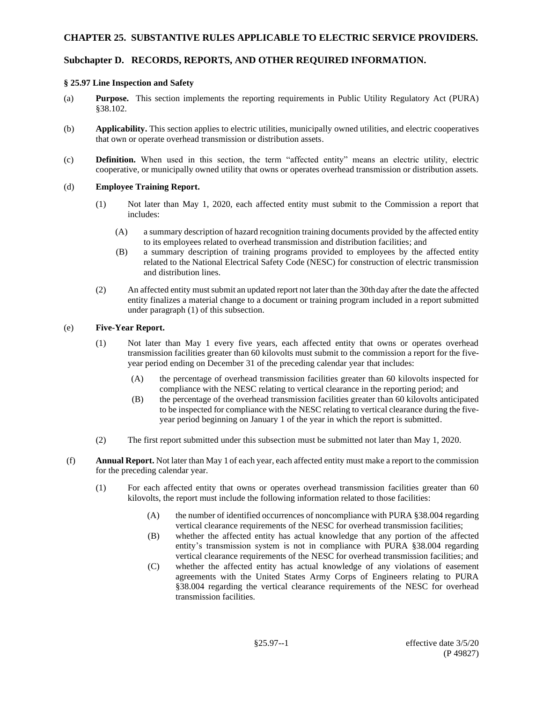## **CHAPTER 25. SUBSTANTIVE RULES APPLICABLE TO ELECTRIC SERVICE PROVIDERS.**

# **Subchapter D. RECORDS, REPORTS, AND OTHER REQUIRED INFORMATION.**

### **§ 25.97 Line Inspection and Safety**

- (a) **Purpose.** This section implements the reporting requirements in Public Utility Regulatory Act (PURA) §38.102.
- (b) **Applicability.** This section applies to electric utilities, municipally owned utilities, and electric cooperatives that own or operate overhead transmission or distribution assets.
- (c) **Definition.** When used in this section, the term "affected entity" means an electric utility, electric cooperative, or municipally owned utility that owns or operates overhead transmission or distribution assets.

#### (d) **Employee Training Report.**

- (1) Not later than May 1, 2020, each affected entity must submit to the Commission a report that includes:
	- (A) a summary description of hazard recognition training documents provided by the affected entity to its employees related to overhead transmission and distribution facilities; and
	- (B) a summary description of training programs provided to employees by the affected entity related to the National Electrical Safety Code (NESC) for construction of electric transmission and distribution lines.
- (2) An affected entity must submit an updated report not later than the 30th day after the date the affected entity finalizes a material change to a document or training program included in a report submitted under paragraph (1) of this subsection.

### (e) **Five-Year Report.**

- (1) Not later than May 1 every five years, each affected entity that owns or operates overhead transmission facilities greater than 60 kilovolts must submit to the commission a report for the fiveyear period ending on December 31 of the preceding calendar year that includes:
	- (A) the percentage of overhead transmission facilities greater than 60 kilovolts inspected for compliance with the NESC relating to vertical clearance in the reporting period; and
	- (B) the percentage of the overhead transmission facilities greater than 60 kilovolts anticipated to be inspected for compliance with the NESC relating to vertical clearance during the fiveyear period beginning on January 1 of the year in which the report is submitted.
- (2) The first report submitted under this subsection must be submitted not later than May 1, 2020.
- (f) **Annual Report.** Not later than May 1 of each year, each affected entity must make a report to the commission for the preceding calendar year.
	- (1) For each affected entity that owns or operates overhead transmission facilities greater than 60 kilovolts, the report must include the following information related to those facilities:
		- (A) the number of identified occurrences of noncompliance with PURA §38.004 regarding vertical clearance requirements of the NESC for overhead transmission facilities;
		- (B) whether the affected entity has actual knowledge that any portion of the affected entity's transmission system is not in compliance with PURA §38.004 regarding vertical clearance requirements of the NESC for overhead transmission facilities; and
		- (C) whether the affected entity has actual knowledge of any violations of easement agreements with the United States Army Corps of Engineers relating to PURA §38.004 regarding the vertical clearance requirements of the NESC for overhead transmission facilities.